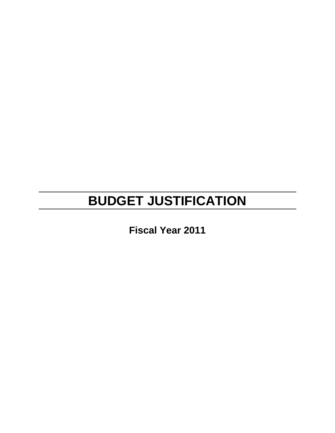# **BUDGET JUSTIFICATION**

**Fiscal Year 2011**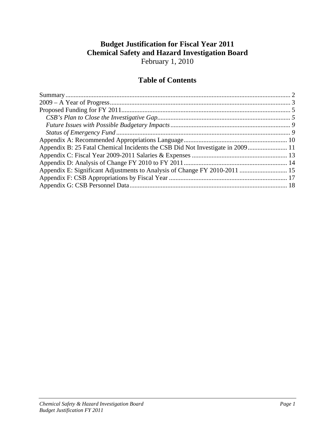# **Budget Justification for Fiscal Year 2011 Chemical Safety and Hazard Investigation Board**  February 1, 2010

# **Table of Contents**

| Appendix B: 25 Fatal Chemical Incidents the CSB Did Not Investigate in 2009 11 |  |
|--------------------------------------------------------------------------------|--|
|                                                                                |  |
|                                                                                |  |
| Appendix E: Significant Adjustments to Analysis of Change FY 2010-2011  15     |  |
|                                                                                |  |
|                                                                                |  |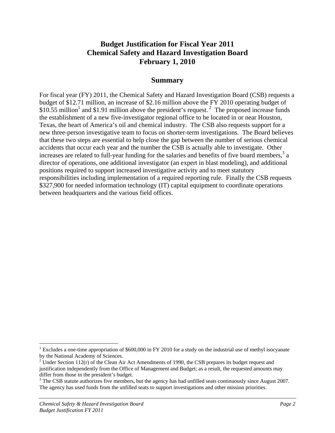# **Budget Justification for Fiscal Year 2011 Chemical Safety and Hazard Investigation Board February 1, 2010**

#### **Summary**

For fiscal year (FY) 2011, the Chemical Safety and Hazard Investigation Board (CSB) requests a budget of \$12.71 million, an increase of \$2.16 million above the FY 2010 operating budget of \$10.55 million<sup>1</sup> and \$1.91 million above the president's request.<sup>2</sup> The proposed increase funds the establishment of a new five-investigator regional office to be located in or near Houston, Texas, the heart of America's oil and chemical industry. The CSB also requests support for a new three-person investigative team to focus on shorter-term investigations. The Board believes that these two steps are essential to help close the gap between the number of serious chemical accidents that occur each year and the number the CSB is actually able to investigate. Other increases are related to full-year funding for the salaries and benefits of five board members,<sup>3</sup> a director of operations, one additional investigator (an expert in blast modeling), and additional positions required to support increased investigative activity and to meet statutory responsibilities including implementation of a required reporting rule. Finally the CSB requests \$327,900 for needed information technology (IT) capital equipment to coordinate operations between headquarters and the various field offices.

 $\overline{a}$ 

<sup>&</sup>lt;sup>1</sup> Excludes a one-time appropriation of \$600,000 in FY 2010 for a study on the industrial use of methyl isocyanate by the National Academy of Sciences.

<sup>&</sup>lt;sup>2</sup> Under Section 112(r) of the Clean Air Act Amendments of 1990, the CSB prepares its budget request and justification independently from the Office of Management and Budget; as a result, the requested amounts may differ from those in the president's budget.

 $3$  The CSB statute authorizes five members, but the agency has had unfilled seats continuously since August 2007. The agency has used funds from the unfilled seats to support investigations and other mission priorities.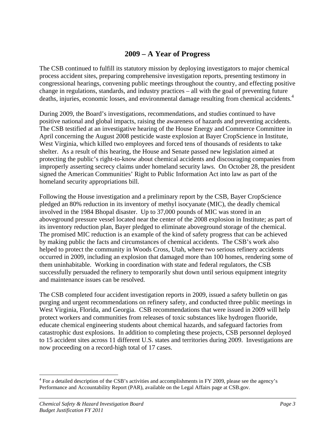# **2009 – A Year of Progress**

The CSB continued to fulfill its statutory mission by deploying investigators to major chemical process accident sites, preparing comprehensive investigation reports, presenting testimony in congressional hearings, convening public meetings throughout the country, and effecting positive change in regulations, standards, and industry practices – all with the goal of preventing future deaths, injuries, economic losses, and environmental damage resulting from chemical accidents.<sup>4</sup>

During 2009, the Board's investigations, recommendations, and studies continued to have positive national and global impacts, raising the awareness of hazards and preventing accidents. The CSB testified at an investigative hearing of the House Energy and Commerce Committee in April concerning the August 2008 pesticide waste explosion at Bayer CropScience in Institute, West Virginia, which killed two employees and forced tens of thousands of residents to take shelter. As a result of this hearing, the House and Senate passed new legislation aimed at protecting the public's right-to-know about chemical accidents and discouraging companies from improperly asserting secrecy claims under homeland security laws. On October 28, the president signed the American Communities' Right to Public Information Act into law as part of the homeland security appropriations bill.

Following the House investigation and a preliminary report by the CSB, Bayer CropScience pledged an 80% reduction in its inventory of methyl isocyanate (MIC), the deadly chemical involved in the 1984 Bhopal disaster. Up to 37,000 pounds of MIC was stored in an aboveground pressure vessel located near the center of the 2008 explosion in Institute; as part of its inventory reduction plan, Bayer pledged to eliminate aboveground storage of the chemical. The promised MIC reduction is an example of the kind of safety progress that can be achieved by making public the facts and circumstances of chemical accidents. The CSB's work also helped to protect the community in Woods Cross, Utah, where two serious refinery accidents occurred in 2009, including an explosion that damaged more than 100 homes, rendering some of them uninhabitable. Working in coordination with state and federal regulators, the CSB successfully persuaded the refinery to temporarily shut down until serious equipment integrity and maintenance issues can be resolved.

The CSB completed four accident investigation reports in 2009, issued a safety bulletin on gas purging and urgent recommendations on refinery safety, and conducted three public meetings in West Virginia, Florida, and Georgia. CSB recommendations that were issued in 2009 will help protect workers and communities from releases of toxic substances like hydrogen fluoride, educate chemical engineering students about chemical hazards, and safeguard factories from catastrophic dust explosions. In addition to completing these projects, CSB personnel deployed to 15 accident sites across 11 different U.S. states and territories during 2009. Investigations are now proceeding on a record-high total of 17 cases.

<u>.</u>

<sup>&</sup>lt;sup>4</sup> For a detailed description of the CSB's activities and accomplishments in FY 2009, please see the agency's Performance and Accountability Report (PAR), available on the Legal Affairs page at CSB.gov.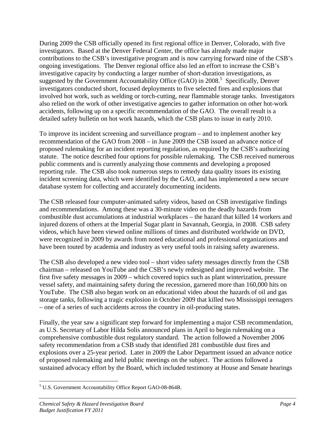During 2009 the CSB officially opened its first regional office in Denver, Colorado, with five investigators. Based at the Denver Federal Center, the office has already made major contributions to the CSB's investigative program and is now carrying forward nine of the CSB's ongoing investigations. The Denver regional office also led an effort to increase the CSB's investigative capacity by conducting a larger number of short-duration investigations, as suggested by the Government Accountability Office  $(GAO)$  in 2008.<sup>5</sup> Specifically, Denver investigators conducted short, focused deployments to five selected fires and explosions that involved hot work, such as welding or torch-cutting, near flammable storage tanks. Investigators also relied on the work of other investigative agencies to gather information on other hot-work accidents, following up on a specific recommendation of the GAO. The overall result is a detailed safety bulletin on hot work hazards, which the CSB plans to issue in early 2010.

To improve its incident screening and surveillance program – and to implement another key recommendation of the GAO from 2008 – in June 2009 the CSB issued an advance notice of proposed rulemaking for an incident reporting regulation, as required by the CSB's authorizing statute. The notice described four options for possible rulemaking. The CSB received numerous public comments and is currently analyzing those comments and developing a proposed reporting rule. The CSB also took numerous steps to remedy data quality issues its existing incident screening data, which were identified by the GAO, and has implemented a new secure database system for collecting and accurately documenting incidents.

The CSB released four computer-animated safety videos, based on CSB investigative findings and recommendations. Among these was a 30-minute video on the deadly hazards from combustible dust accumulations at industrial workplaces – the hazard that killed 14 workers and injured dozens of others at the Imperial Sugar plant in Savannah, Georgia, in 2008. CSB safety videos, which have been viewed online millions of times and distributed worldwide on DVD, were recognized in 2009 by awards from noted educational and professional organizations and have been touted by academia and industry as very useful tools in raising safety awareness.

The CSB also developed a new video tool – short video safety messages directly from the CSB chairman – released on YouTube and the CSB's newly redesigned and improved website. The first five safety messages in 2009 – which covered topics such as plant winterization, pressure vessel safety, and maintaining safety during the recession, garnered more than 160,000 hits on YouTube. The CSB also began work on an educational video about the hazards of oil and gas storage tanks, following a tragic explosion in October 2009 that killed two Mississippi teenagers – one of a series of such accidents across the country in oil-producing states.

Finally, the year saw a significant step forward for implementing a major CSB recommendation, as U.S. Secretary of Labor Hilda Solis announced plans in April to begin rulemaking on a comprehensive combustible dust regulatory standard. The action followed a November 2006 safety recommendation from a CSB study that identified 281 combustible dust fires and explosions over a 25-year period. Later in 2009 the Labor Department issued an advance notice of proposed rulemaking and held public meetings on the subject. The actions followed a sustained advocacy effort by the Board, which included testimony at House and Senate hearings

 $\overline{a}$ <sup>5</sup> U.S. Government Accountability Office Report GAO-08-864R.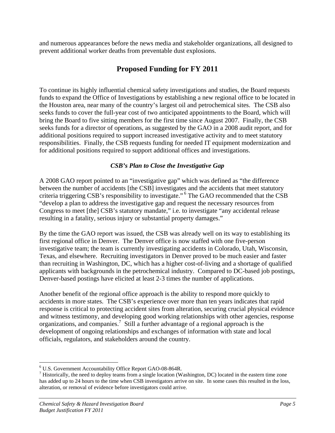and numerous appearances before the news media and stakeholder organizations, all designed to prevent additional worker deaths from preventable dust explosions.

# **Proposed Funding for FY 2011**

To continue its highly influential chemical safety investigations and studies, the Board requests funds to expand the Office of Investigations by establishing a new regional office to be located in the Houston area, near many of the country's largest oil and petrochemical sites. The CSB also seeks funds to cover the full-year cost of two anticipated appointments to the Board, which will bring the Board to five sitting members for the first time since August 2007. Finally, the CSB seeks funds for a director of operations, as suggested by the GAO in a 2008 audit report, and for additional positions required to support increased investigative activity and to meet statutory responsibilities. Finally, the CSB requests funding for needed IT equipment modernization and for additional positions required to support additional offices and investigations.

#### *CSB's Plan to Close the Investigative Gap*

A 2008 GAO report pointed to an "investigative gap" which was defined as "the difference between the number of accidents [the CSB] investigates and the accidents that meet statutory criteria triggering CSB's responsibility to investigate." 6 The GAO recommended that the CSB "develop a plan to address the investigative gap and request the necessary resources from Congress to meet [the] CSB's statutory mandate," i.e. to investigate "any accidental release resulting in a fatality, serious injury or substantial property damages."

By the time the GAO report was issued, the CSB was already well on its way to establishing its first regional office in Denver. The Denver office is now staffed with one five-person investigative team; the team is currently investigating accidents in Colorado, Utah, Wisconsin, Texas, and elsewhere. Recruiting investigators in Denver proved to be much easier and faster than recruiting in Washington, DC, which has a higher cost-of-living and a shortage of qualified applicants with backgrounds in the petrochemical industry. Compared to DC-based job postings, Denver-based postings have elicited at least 2-3 times the number of applications.

Another benefit of the regional office approach is the ability to respond more quickly to accidents in more states. The CSB's experience over more than ten years indicates that rapid response is critical to protecting accident sites from alteration, securing crucial physical evidence and witness testimony, and developing good working relationships with other agencies, response organizations, and companies.<sup>7</sup> Still a further advantage of a regional approach is the development of ongoing relationships and exchanges of information with state and local officials, regulators, and stakeholders around the country.

 $\overline{a}$ 

<sup>6</sup> U.S. Government Accountability Office Report GAO-08-864R.

 $<sup>7</sup>$  Historically, the need to deploy teams from a single location (Washington, DC) located in the eastern time zone</sup> has added up to 24 hours to the time when CSB investigators arrive on site. In some cases this resulted in the loss, alteration, or removal of evidence before investigators could arrive.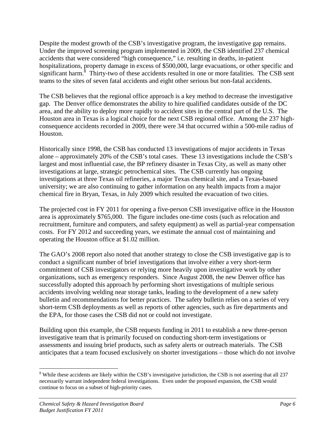Despite the modest growth of the CSB's investigative program, the investigative gap remains. Under the improved screening program implemented in 2009, the CSB identified 237 chemical accidents that were considered "high consequence," i.e. resulting in deaths, in-patient hospitalizations, property damage in excess of \$500,000, large evacuations, or other specific and significant harm.<sup>8</sup> Thirty-two of these accidents resulted in one or more fatalities. The CSB sent teams to the sites of seven fatal accidents and eight other serious but non-fatal accidents.

The CSB believes that the regional office approach is a key method to decrease the investigative gap. The Denver office demonstrates the ability to hire qualified candidates outside of the DC area, and the ability to deploy more rapidly to accident sites in the central part of the U.S. The Houston area in Texas is a logical choice for the next CSB regional office. Among the 237 highconsequence accidents recorded in 2009, there were 34 that occurred within a 500-mile radius of Houston.

Historically since 1998, the CSB has conducted 13 investigations of major accidents in Texas alone – approximately 20% of the CSB's total cases. These 13 investigations include the CSB's largest and most influential case, the BP refinery disaster in Texas City, as well as many other investigations at large, strategic petrochemical sites. The CSB currently has ongoing investigations at three Texas oil refineries, a major Texas chemical site, and a Texas-based university; we are also continuing to gather information on any health impacts from a major chemical fire in Bryan, Texas, in July 2009 which resulted the evacuation of two cities.

The projected cost in FY 2011 for opening a five-person CSB investigative office in the Houston area is approximately \$765,000. The figure includes one-time costs (such as relocation and recruitment, furniture and computers, and safety equipment) as well as partial-year compensation costs. For FY 2012 and succeeding years, we estimate the annual cost of maintaining and operating the Houston office at \$1.02 million.

The GAO's 2008 report also noted that another strategy to close the CSB investigative gap is to conduct a significant number of brief investigations that involve either a very short-term commitment of CSB investigators or relying more heavily upon investigative work by other organizations, such as emergency responders. Since August 2008, the new Denver office has successfully adopted this approach by performing short investigations of multiple serious accidents involving welding near storage tanks, leading to the development of a new safety bulletin and recommendations for better practices. The safety bulletin relies on a series of very short-term CSB deployments as well as reports of other agencies, such as fire departments and the EPA, for those cases the CSB did not or could not investigate.

Building upon this example, the CSB requests funding in 2011 to establish a new three-person investigative team that is primarily focused on conducting short-term investigations or assessments and issuing brief products, such as safety alerts or outreach materials. The CSB anticipates that a team focused exclusively on shorter investigations – those which do not involve

1

<sup>&</sup>lt;sup>8</sup> While these accidents are likely within the CSB's investigative jurisdiction, the CSB is not asserting that all 237 necessarily warrant independent federal investigations. Even under the proposed expansion, the CSB would continue to focus on a subset of high-priority cases.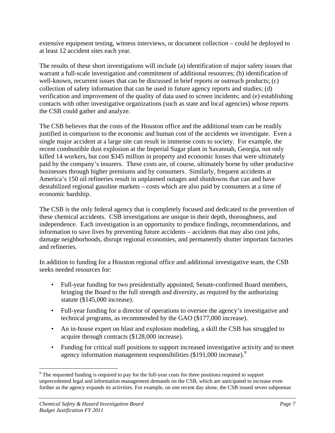extensive equipment testing, witness interviews, or document collection – could be deployed to at least 12 accident sites each year.

The results of these short investigations will include (a) identification of major safety issues that warrant a full-scale investigation and commitment of additional resources; (b) identification of well-known, recurrent issues that can be discussed in brief reports or outreach products; (c) collection of safety information that can be used in future agency reports and studies; (d) verification and improvement of the quality of data used to screen incidents; and (e) establishing contacts with other investigative organizations (such as state and local agencies) whose reports the CSB could gather and analyze.

The CSB believes that the costs of the Houston office and the additional team can be readily justified in comparison to the economic and human cost of the accidents we investigate. Even a single major accident at a large site can result in immense costs to society. For example, the recent combustible dust explosion at the Imperial Sugar plant in Savannah, Georgia, not only killed 14 workers, but cost \$345 million in property and economic losses that were ultimately paid by the company's insurers. These costs are, of course, ultimately borne by other productive businesses through higher premiums and by consumers. Similarly, frequent accidents at America's 150 oil refineries result in unplanned outages and shutdowns that can and have destabilized regional gasoline markets – costs which are also paid by consumers at a time of economic hardship.

The CSB is the only federal agency that is completely focused and dedicated to the prevention of these chemical accidents. CSB investigations are unique in their depth, thoroughness, and independence. Each investigation is an opportunity to produce findings, recommendations, and information to save lives by preventing future accidents – accidents that may also cost jobs, damage neighborhoods, disrupt regional economies, and permanently shutter important factories and refineries.

In addition to funding for a Houston regional office and additional investigative team, the CSB seeks needed resources for:

- Full-year funding for two presidentially appointed, Senate-confirmed Board members, bringing the Board to the full strength and diversity, as required by the authorizing statute (\$145,000 increase).
- Full-year funding for a director of operations to oversee the agency's investigative and technical programs, as recommended by the GAO (\$177,000 increase).
- An in-house expert on blast and explosion modeling, a skill the CSB has struggled to acquire through contracts (\$128,000 increase).
- Funding for critical staff positions to support increased investigative activity and to meet agency information management responsibilities (\$191,000 increase).<sup>9</sup>

 $\overline{a}$ 

<sup>&</sup>lt;sup>9</sup> The requested funding is required to pay for the full-year costs for three positions required to support unprecedented legal and information management demands on the CSB, which are anticipated to increase even further as the agency expands its activities. For example, on one recent day alone, the CSB issued seven subpoenas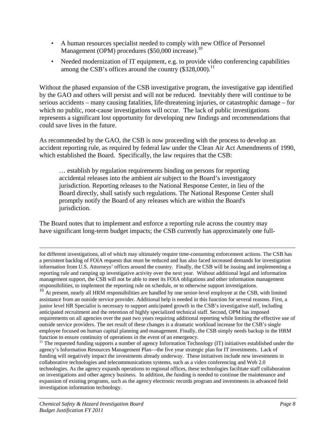- A human resources specialist needed to comply with new Office of Personnel Management (OPM) procedures (\$50,000 increase).<sup>10</sup>
- Needed modernization of IT equipment, e.g. to provide video conferencing capabilities among the CSB's offices around the country  $(\$328,000).$ <sup>11</sup>

Without the phased expansion of the CSB investigative program, the investigative gap identified by the GAO and others will persist and will not be reduced. Inevitably there will continue to be serious accidents – many causing fatalities, life-threatening injuries, or catastrophic damage – for which no public, root-cause investigations will occur. The lack of public investigations represents a significant lost opportunity for developing new findings and recommendations that could save lives in the future.

As recommended by the GAO, the CSB is now proceeding with the process to develop an accident reporting rule, as required by federal law under the Clean Air Act Amendments of 1990, which established the Board. Specifically, the law requires that the CSB:

… establish by regulation requirements binding on persons for reporting accidental releases into the ambient air subject to the Board's investigatory jurisdiction. Reporting releases to the National Response Center, in lieu of the Board directly, shall satisfy such regulations. The National Response Center shall promptly notify the Board of any releases which are within the Board's jurisdiction.

The Board notes that to implement and enforce a reporting rule across the country may have significant long-term budget impacts; the CSB currently has approximately one full-

for different investigations, all of which may ultimately require time-consuming enforcement actions. The CSB has a persistent backlog of FOIA requests that must be reduced and has also faced increased demands for investigation information from U.S. Attorneys' offices around the country. Finally, the CSB will be issuing and implementing a reporting rule and ramping up investigative activity over the next year. Without additional legal and information management support, the CSB will not be able to meet its FOIA obligations and other information management responsibilities, to implement the reporting rule on schedule, or to otherwise support investigations.

<sup>10</sup> At present, nearly all HRM responsibilities are handled by one senior-level employee at the CSB, with limited assistance from an outside service provider. Additional help is needed in this function for several reasons. First, a junior level HR Specialist is necessary to support anticipated growth in the CSB's investigative staff, including anticipated recruitment and the retention of highly specialized technical staff. Second, OPM has imposed requirements on all agencies over the past two years requiring additional reporting while limiting the effective use of outside service providers. The net result of these changes is a dramatic workload increase for the CSB's single employee focused on human capital planning and management. Finally, the CSB simply needs backup in the HRM function to ensure continuity of operations in the event of an emergency.

 $11$  The requested funding supports a number of agency Information Technology (IT) initiatives established under the agency's Information Resources Management Plan—the five year strategic plan for IT investments. Lack of funding will negatively impact the investments already underway. These initiatives include new investments in collaborative technologies and telecommunications systems, such as a video conferencing and Web 2.0 technologies. As the agency expands operations to regional offices, these technologies facilitate staff collaboration on investigations and other agency business. In addition, the funding is needed to continue the maintenance and expansion of existing programs, such as the agency electronic records program and investments in advanced field investigation information technology.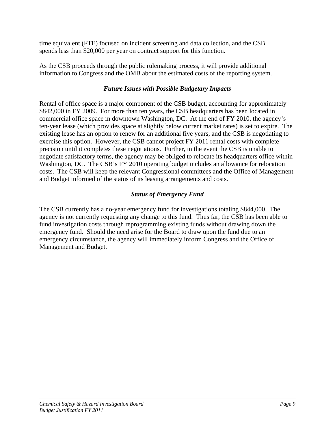time equivalent (FTE) focused on incident screening and data collection, and the CSB spends less than \$20,000 per year on contract support for this function.

As the CSB proceeds through the public rulemaking process, it will provide additional information to Congress and the OMB about the estimated costs of the reporting system.

#### *Future Issues with Possible Budgetary Impacts*

Rental of office space is a major component of the CSB budget, accounting for approximately \$842,000 in FY 2009. For more than ten years, the CSB headquarters has been located in commercial office space in downtown Washington, DC. At the end of FY 2010, the agency's ten-year lease (which provides space at slightly below current market rates) is set to expire. The existing lease has an option to renew for an additional five years, and the CSB is negotiating to exercise this option. However, the CSB cannot project FY 2011 rental costs with complete precision until it completes these negotiations. Further, in the event the CSB is unable to negotiate satisfactory terms, the agency may be obliged to relocate its headquarters office within Washington, DC. The CSB's FY 2010 operating budget includes an allowance for relocation costs. The CSB will keep the relevant Congressional committees and the Office of Management and Budget informed of the status of its leasing arrangements and costs.

#### *Status of Emergency Fund*

The CSB currently has a no-year emergency fund for investigations totaling \$844,000. The agency is not currently requesting any change to this fund. Thus far, the CSB has been able to fund investigation costs through reprogramming existing funds without drawing down the emergency fund. Should the need arise for the Board to draw upon the fund due to an emergency circumstance, the agency will immediately inform Congress and the Office of Management and Budget.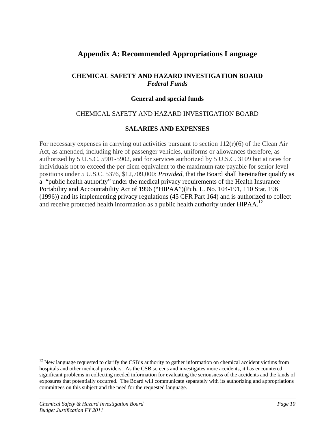# **Appendix A: Recommended Appropriations Language**

#### **CHEMICAL SAFETY AND HAZARD INVESTIGATION BOARD**  *Federal Funds*

#### **General and special funds**

#### CHEMICAL SAFETY AND HAZARD INVESTIGATION BOARD

#### **SALARIES AND EXPENSES**

For necessary expenses in carrying out activities pursuant to section  $112(r)(6)$  of the Clean Air Act, as amended, including hire of passenger vehicles, uniforms or allowances therefore, as authorized by 5 U.S.C. 5901-5902, and for services authorized by 5 U.S.C. 3109 but at rates for individuals not to exceed the per diem equivalent to the maximum rate payable for senior level positions under 5 U.S.C. 5376, \$12,709,000: *Provided*, that the Board shall hereinafter qualify as a "public health authority" under the medical privacy requirements of the Health Insurance Portability and Accountability Act of 1996 ("HIPAA")(Pub. L. No. 104-191, 110 Stat. 196 (1996)) and its implementing privacy regulations (45 CFR Part 164) and is authorized to collect and receive protected health information as a public health authority under HIPAA.<sup>12</sup>

<u>.</u>

 $12$  New language requested to clarify the CSB's authority to gather information on chemical accident victims from hospitals and other medical providers. As the CSB screens and investigates more accidents, it has encountered significant problems in collecting needed information for evaluating the seriousness of the accidents and the kinds of exposures that potentially occurred. The Board will communicate separately with its authorizing and appropriations committees on this subject and the need for the requested language.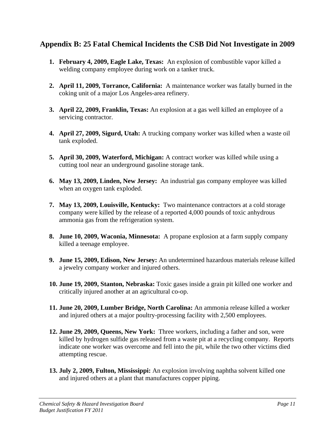# **Appendix B: 25 Fatal Chemical Incidents the CSB Did Not Investigate in 2009**

- **1. February 4, 2009, Eagle Lake, Texas:** An explosion of combustible vapor killed a welding company employee during work on a tanker truck.
- **2. April 11, 2009, Torrance, California:** A maintenance worker was fatally burned in the coking unit of a major Los Angeles-area refinery.
- **3. April 22, 2009, Franklin, Texas:** An explosion at a gas well killed an employee of a servicing contractor.
- **4. April 27, 2009, Sigurd, Utah:** A trucking company worker was killed when a waste oil tank exploded.
- **5. April 30, 2009, Waterford, Michigan:** A contract worker was killed while using a cutting tool near an underground gasoline storage tank.
- **6. May 13, 2009, Linden, New Jersey:** An industrial gas company employee was killed when an oxygen tank exploded.
- **7. May 13, 2009, Louisville, Kentucky:** Two maintenance contractors at a cold storage company were killed by the release of a reported 4,000 pounds of toxic anhydrous ammonia gas from the refrigeration system.
- **8. June 10, 2009, Waconia, Minnesota:** A propane explosion at a farm supply company killed a teenage employee.
- **9. June 15, 2009, Edison, New Jersey:** An undetermined hazardous materials release killed a jewelry company worker and injured others.
- **10. June 19, 2009, Stanton, Nebraska:** Toxic gases inside a grain pit killed one worker and critically injured another at an agricultural co-op.
- **11. June 20, 2009, Lumber Bridge, North Carolina:** An ammonia release killed a worker and injured others at a major poultry-processing facility with 2,500 employees.
- **12. June 29, 2009, Queens, New York:** Three workers, including a father and son, were killed by hydrogen sulfide gas released from a waste pit at a recycling company. Reports indicate one worker was overcome and fell into the pit, while the two other victims died attempting rescue.
- **13. July 2, 2009, Fulton, Mississippi:** An explosion involving naphtha solvent killed one and injured others at a plant that manufactures copper piping.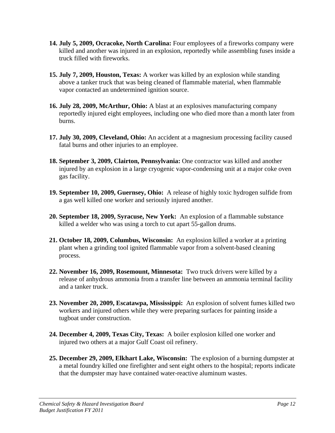- **14. July 5, 2009, Ocracoke, North Carolina:** Four employees of a fireworks company were killed and another was injured in an explosion, reportedly while assembling fuses inside a truck filled with fireworks.
- **15. July 7, 2009, Houston, Texas:** A worker was killed by an explosion while standing above a tanker truck that was being cleaned of flammable material, when flammable vapor contacted an undetermined ignition source.
- **16. July 28, 2009, McArthur, Ohio:** A blast at an explosives manufacturing company reportedly injured eight employees, including one who died more than a month later from burns.
- **17. July 30, 2009, Cleveland, Ohio:** An accident at a magnesium processing facility caused fatal burns and other injuries to an employee.
- **18. September 3, 2009, Clairton, Pennsylvania:** One contractor was killed and another injured by an explosion in a large cryogenic vapor-condensing unit at a major coke oven gas facility.
- **19. September 10, 2009, Guernsey, Ohio:** A release of highly toxic hydrogen sulfide from a gas well killed one worker and seriously injured another.
- **20. September 18, 2009, Syracuse, New York:** An explosion of a flammable substance killed a welder who was using a torch to cut apart 55-gallon drums.
- **21. October 18, 2009, Columbus, Wisconsin:** An explosion killed a worker at a printing plant when a grinding tool ignited flammable vapor from a solvent-based cleaning process.
- **22. November 16, 2009, Rosemount, Minnesota:** Two truck drivers were killed by a release of anhydrous ammonia from a transfer line between an ammonia terminal facility and a tanker truck.
- **23. November 20, 2009, Escatawpa, Mississippi:** An explosion of solvent fumes killed two workers and injured others while they were preparing surfaces for painting inside a tugboat under construction.
- **24. December 4, 2009, Texas City, Texas:** A boiler explosion killed one worker and injured two others at a major Gulf Coast oil refinery.
- **25. December 29, 2009, Elkhart Lake, Wisconsin:** The explosion of a burning dumpster at a metal foundry killed one firefighter and sent eight others to the hospital; reports indicate that the dumpster may have contained water-reactive aluminum wastes.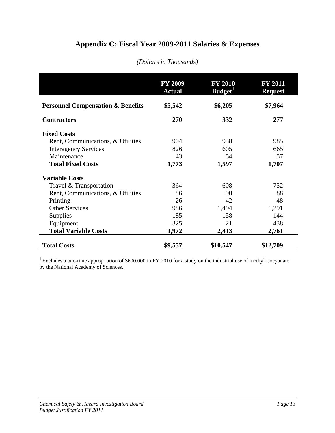# **Appendix C: Fiscal Year 2009-2011 Salaries & Expenses**

|                                              | <b>FY 2009</b><br><b>Actual</b> | <b>FY 2010</b><br>Budget <sup>1</sup> | <b>FY 2011</b><br><b>Request</b> |
|----------------------------------------------|---------------------------------|---------------------------------------|----------------------------------|
| <b>Personnel Compensation &amp; Benefits</b> | \$5,542                         | \$6,205                               | \$7,964                          |
| <b>Contractors</b>                           | 270                             | 332                                   | 277                              |
| <b>Fixed Costs</b>                           |                                 |                                       |                                  |
| Rent, Communications, & Utilities            | 904                             | 938                                   | 985                              |
| <b>Interagency Services</b>                  | 826                             | 605                                   | 665                              |
| Maintenance                                  | 43                              | 54                                    | 57                               |
| <b>Total Fixed Costs</b>                     | 1,773                           | 1,597                                 | 1,707                            |
| <b>Variable Costs</b>                        |                                 |                                       |                                  |
| Travel & Transportation                      | 364                             | 608                                   | 752                              |
| Rent, Communications, & Utilities            | 86                              | 90                                    | 88                               |
| Printing                                     | 26                              | 42                                    | 48                               |
| <b>Other Services</b>                        | 986                             | 1,494                                 | 1,291                            |
| <b>Supplies</b>                              | 185                             | 158                                   | 144                              |
| Equipment                                    | 325                             | 21                                    | 438                              |
| <b>Total Variable Costs</b>                  | 1,972                           | 2,413                                 | 2,761                            |
| <b>Total Costs</b>                           | \$9,557                         | \$10,547                              | \$12,709                         |

#### *(Dollars in Thousands)*

<sup>1</sup> Excludes a one-time appropriation of \$600,000 in FY 2010 for a study on the industrial use of methyl isocyanate by the National Academy of Sciences.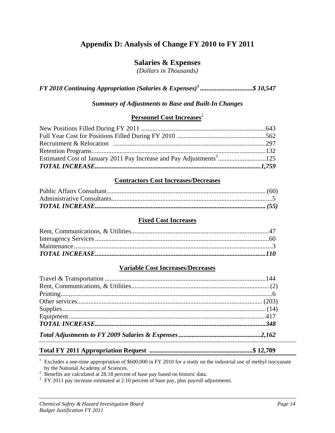# **Appendix D: Analysis of Change FY 2010 to FY 2011**

## **Salaries & Expenses**

*(Dollars in Thousands)* 

*FY 2010 Continuing Appropriation (Salaries & Expenses)***<sup>1</sup>**  *................................\$ 10,547* 

#### *Summary of Adjustments to Base and Built-In Changes*

#### **Personnel Cost Increases**<sup>2</sup>

#### **Contractors Cost Increases/Decreases**

#### **Fixed Cost Increases**

#### **Variable Cost Increases/Decreases**

## **Total FY 2011 Appropriation Request ...............................................................\$ 12,709**

Excludes a one-time appropriation of \$600,000 in FY 2010 for a study on the industrial use of methyl isocyanate by the National Academy of Sciences.

<sup>2</sup> Benefits are calculated at 28.18 percent of base pay based on historic data.<br><sup>3</sup> FY 2011 pay increase estimated at 2.10 percent of base pay, plus payroll adjustments.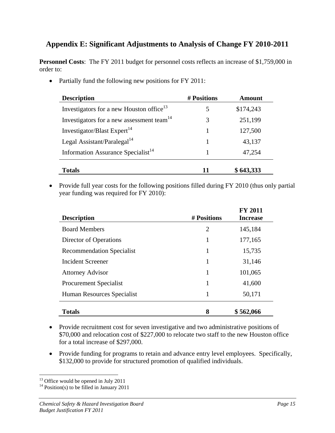# **Appendix E: Significant Adjustments to Analysis of Change FY 2010-2011**

**Personnel Costs**: The FY 2011 budget for personnel costs reflects an increase of \$1,759,000 in order to:

• Partially fund the following new positions for FY 2011:

| <b>Description</b>                                    | # Positions | Amount    |
|-------------------------------------------------------|-------------|-----------|
| Investigators for a new Houston office <sup>13</sup>  |             | \$174,243 |
| Investigators for a new assessment team <sup>14</sup> |             | 251,199   |
| Investigator/Blast Expert <sup>14</sup>               |             | 127,500   |
| Legal Assistant/Paralegal <sup>14</sup>               |             | 43,137    |
| Information Assurance Specialist <sup>14</sup>        |             | 47,254    |
| <b>Totals</b>                                         | 11          | \$643,333 |

• Provide full year costs for the following positions filled during FY 2010 (thus only partial year funding was required for FY 2010):

| <b>Description</b>               | # Positions    | <b>FY 2011</b><br><b>Increase</b> |
|----------------------------------|----------------|-----------------------------------|
|                                  |                |                                   |
| <b>Board Members</b>             | $\overline{2}$ | 145,184                           |
| Director of Operations           |                | 177,165                           |
| <b>Recommendation Specialist</b> | 1              | 15,735                            |
| Incident Screener                | 1              | 31,146                            |
| <b>Attorney Advisor</b>          | 1              | 101,065                           |
| Procurement Specialist           | 1              | 41,600                            |
| Human Resources Specialist       | 1              | 50,171                            |
| <b>Totals</b>                    | 8              | \$562,066                         |

- Provide recruitment cost for seven investigative and two administrative positions of \$70,000 and relocation cost of \$227,000 to relocate two staff to the new Houston office for a total increase of \$297,000.
- Provide funding for programs to retain and advance entry level employees. Specifically, \$132,000 to provide for structured promotion of qualified individuals.

 $\overline{a}$ <sup>13</sup> Office would be opened in July 2011

<sup>&</sup>lt;sup>14</sup> Position(s) to be filled in January 2011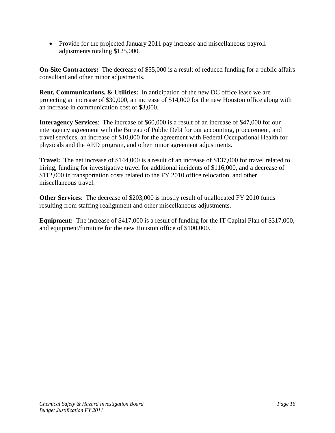• Provide for the projected January 2011 pay increase and miscellaneous payroll adjustments totaling \$125,000.

**On-Site Contractors:** The decrease of \$55,000 is a result of reduced funding for a public affairs consultant and other minor adjustments.

**Rent, Communications, & Utilities:** In anticipation of the new DC office lease we are projecting an increase of \$30,000, an increase of \$14,000 for the new Houston office along with an increase in communication cost of \$3,000.

**Interagency Services**: The increase of \$60,000 is a result of an increase of \$47,000 for our interagency agreement with the Bureau of Public Debt for our accounting, procurement, and travel services, an increase of \$10,000 for the agreement with Federal Occupational Health for physicals and the AED program, and other minor agreement adjustments.

**Travel:** The net increase of \$144,000 is a result of an increase of \$137,000 for travel related to hiring, funding for investigative travel for additional incidents of \$116,000, and a decrease of \$112,000 in transportation costs related to the FY 2010 office relocation, and other miscellaneous travel.

**Other Services**: The decrease of \$203,000 is mostly result of unallocated FY 2010 funds resulting from staffing realignment and other miscellaneous adjustments.

**Equipment:** The increase of \$417,000 is a result of funding for the IT Capital Plan of \$317,000, and equipment/furniture for the new Houston office of \$100,000.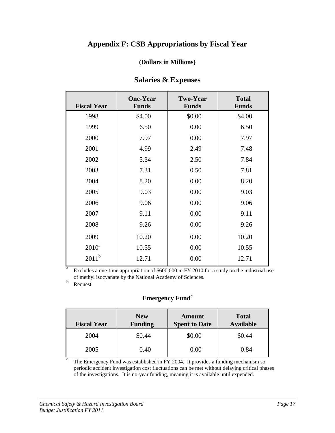# **Appendix F: CSB Appropriations by Fiscal Year**

#### **(Dollars in Millions)**

| <b>Fiscal Year</b> | <b>One-Year</b><br><b>Funds</b> | <b>Two-Year</b><br><b>Funds</b> | <b>Total</b><br><b>Funds</b> |
|--------------------|---------------------------------|---------------------------------|------------------------------|
| 1998               | \$4.00                          | \$0.00                          | \$4.00                       |
| 1999               | 6.50                            | 0.00                            | 6.50                         |
| 2000               | 7.97                            | 0.00                            | 7.97                         |
| 2001               | 4.99                            | 2.49                            | 7.48                         |
| 2002               | 5.34                            | 2.50                            | 7.84                         |
| 2003               | 7.31                            | 0.50                            | 7.81                         |
| 2004               | 8.20                            | 0.00                            | 8.20                         |
| 2005               | 9.03                            | 0.00                            | 9.03                         |
| 2006               | 9.06                            | 0.00                            | 9.06                         |
| 2007               | 9.11                            | 0.00                            | 9.11                         |
| 2008               | 9.26                            | 0.00                            | 9.26                         |
| 2009               | 10.20                           | 0.00                            | 10.20                        |
| $2010^a$           | 10.55                           | 0.00                            | 10.55                        |
| $2011^b$           | 12.71                           | 0.00                            | 12.71                        |

#### **Salaries & Expenses**

Excludes a one-time appropriation of \$600,000 in FY 2010 for a study on the industrial use of methyl isocyanate by the National Academy of Sciences.

b Request

#### **Emergency Fund**<sup>c</sup>

| <b>Fiscal Year</b> | <b>New</b><br><b>Funding</b> | Amount<br><b>Spent to Date</b> | <b>Total</b><br><b>Available</b> |
|--------------------|------------------------------|--------------------------------|----------------------------------|
| 2004               | \$0.44                       | \$0.00                         | \$0.44                           |
| 2005               | 0.40                         | 0.00                           | 0.84                             |

 $\overline{c}$  The Emergency Fund was established in FY 2004. It provides a funding mechanism so periodic accident investigation cost fluctuations can be met without delaying critical phases of the investigations. It is no-year funding, meaning it is available until expended.